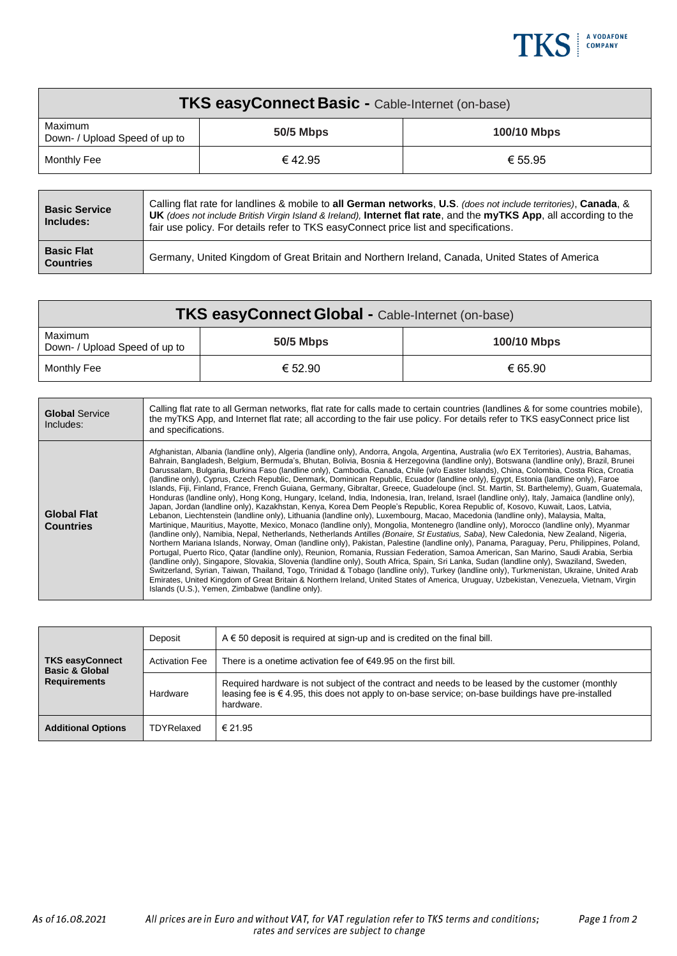

| <b>TKS easyConnect Basic - Cable-Internet (on-base)</b> |                  |                    |  |
|---------------------------------------------------------|------------------|--------------------|--|
| Maximum<br>Down- / Upload Speed of up to                | <b>50/5 Mbps</b> | <b>100/10 Mbps</b> |  |
| Monthly Fee                                             | € 42.95          | € 55.95            |  |

| <b>Basic Service</b><br>Includes:     | Calling flat rate for landlines & mobile to all German networks, U.S. (does not include territories), Canada, &<br><b>UK</b> (does not include British Virgin Island & Ireland), Internet flat rate, and the myTKS App, all according to the<br>fair use policy. For details refer to TKS easy Connect price list and specifications. |  |
|---------------------------------------|---------------------------------------------------------------------------------------------------------------------------------------------------------------------------------------------------------------------------------------------------------------------------------------------------------------------------------------|--|
| <b>Basic Flat</b><br><b>Countries</b> | Germany, United Kingdom of Great Britain and Northern Ireland, Canada, United States of America                                                                                                                                                                                                                                       |  |

| <b>TKS easyConnect Global - Cable-Internet (on-base)</b> |           |                    |  |
|----------------------------------------------------------|-----------|--------------------|--|
| Maximum<br>Down- / Upload Speed of up to                 | 50/5 Mbps | <b>100/10 Mbps</b> |  |
| Monthly Fee                                              | € 52.90   | € 65.90            |  |

| <b>Global Service</b><br>Includes:     | Calling flat rate to all German networks, flat rate for calls made to certain countries (landlines & for some countries mobile).<br>the myTKS App, and Internet flat rate; all according to the fair use policy. For details refer to TKS easyConnect price list<br>and specifications.                                                                                                                                                                                                                                                                                                                                                                                                                                                                                                                                                                                                                                                                                                                                                                                                                                                                                                                                                                                                                                                                                                                                                                                                                                                                                                                                                                                                                                                                                                                                                                                                                                                                                                                                                                                                                                                                                                                                |
|----------------------------------------|------------------------------------------------------------------------------------------------------------------------------------------------------------------------------------------------------------------------------------------------------------------------------------------------------------------------------------------------------------------------------------------------------------------------------------------------------------------------------------------------------------------------------------------------------------------------------------------------------------------------------------------------------------------------------------------------------------------------------------------------------------------------------------------------------------------------------------------------------------------------------------------------------------------------------------------------------------------------------------------------------------------------------------------------------------------------------------------------------------------------------------------------------------------------------------------------------------------------------------------------------------------------------------------------------------------------------------------------------------------------------------------------------------------------------------------------------------------------------------------------------------------------------------------------------------------------------------------------------------------------------------------------------------------------------------------------------------------------------------------------------------------------------------------------------------------------------------------------------------------------------------------------------------------------------------------------------------------------------------------------------------------------------------------------------------------------------------------------------------------------------------------------------------------------------------------------------------------------|
| <b>Global Flat</b><br><b>Countries</b> | Afghanistan, Albania (landline only), Algeria (landline only), Andorra, Angola, Argentina, Australia (w/o EX Territories), Austria, Bahamas,<br>Bahrain, Bangladesh, Belgium, Bermuda's, Bhutan, Bolivia, Bosnia & Herzegovina (landline only), Botswana (landline only), Brazil, Brunei<br>Darussalam, Bulgaria, Burkina Faso (landline only), Cambodia, Canada, Chile (w/o Easter Islands), China, Colombia, Costa Rica, Croatia<br>(landline only), Cyprus, Czech Republic, Denmark, Dominican Republic, Ecuador (landline only), Egypt, Estonia (landline only), Faroe<br>Islands, Fiji, Finland, France, French Guiana, Germany, Gibraltar, Greece, Guadeloupe (incl. St. Martin, St. Barthelemy), Guam, Guatemala,<br>Honduras (landline only), Hong Kong, Hungary, Iceland, India, Indonesia, Iran, Ireland, Israel (landline only), Italy, Jamaica (landline only),<br>Japan, Jordan (landline only), Kazakhstan, Kenya, Korea Dem People's Republic, Korea Republic of, Kosovo, Kuwait, Laos, Latvia,<br>Lebanon, Liechtenstein (landline only), Lithuania (landline only), Luxembourg, Macao, Macedonia (landline only), Malaysia, Malta,<br>Martinique, Mauritius, Mayotte, Mexico, Monaco (landline only), Mongolia, Montenegro (landline only), Morocco (landline only), Myanmar<br>(landline only), Namibia, Nepal, Netherlands, Netherlands Antilles (Bonaire, St Eustatius, Saba), New Caledonia, New Zealand, Nigeria,<br>Northern Mariana Islands, Norway, Oman (landline only), Pakistan, Palestine (landline only), Panama, Paraguay, Peru, Philippines, Poland,<br>Portugal, Puerto Rico, Qatar (landline only), Reunion, Romania, Russian Federation, Samoa American, San Marino, Saudi Arabia, Serbia<br>(landline only), Singapore, Slovakia, Slovenia (landline only), South Africa, Spain, Sri Lanka, Sudan (landline only), Swaziland, Sweden,<br>Switzerland, Syrian, Taiwan, Thailand, Togo, Trinidad & Tobago (landline only), Turkey (landline only), Turkmenistan, Ukraine, United Arab<br>Emirates, United Kingdom of Great Britain & Northern Ireland, United States of America, Uruguay, Uzbekistan, Venezuela, Vietnam, Virgin<br>Islands (U.S.), Yemen, Zimbabwe (landline only). |

| <b>TKS easyConnect</b><br><b>Basic &amp; Global</b> | Deposit               | $A \in 50$ deposit is required at sign-up and is credited on the final bill.                                                                                                                                                  |
|-----------------------------------------------------|-----------------------|-------------------------------------------------------------------------------------------------------------------------------------------------------------------------------------------------------------------------------|
|                                                     | <b>Activation Fee</b> | There is a onetime activation fee of $€49.95$ on the first bill.                                                                                                                                                              |
| <b>Requirements</b>                                 | Hardware              | Required hardware is not subject of the contract and needs to be leased by the customer (monthly<br>leasing fee is $\epsilon$ 4.95, this does not apply to on-base service; on-base buildings have pre-installed<br>hardware. |
| <b>Additional Options</b>                           | TDYRelaxed            | € 21.95                                                                                                                                                                                                                       |